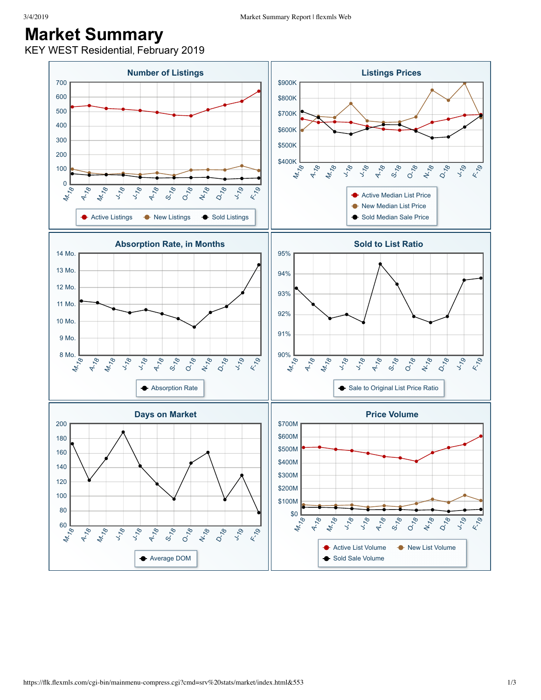## **Market Summary**

KEY WEST Residential, February 2019

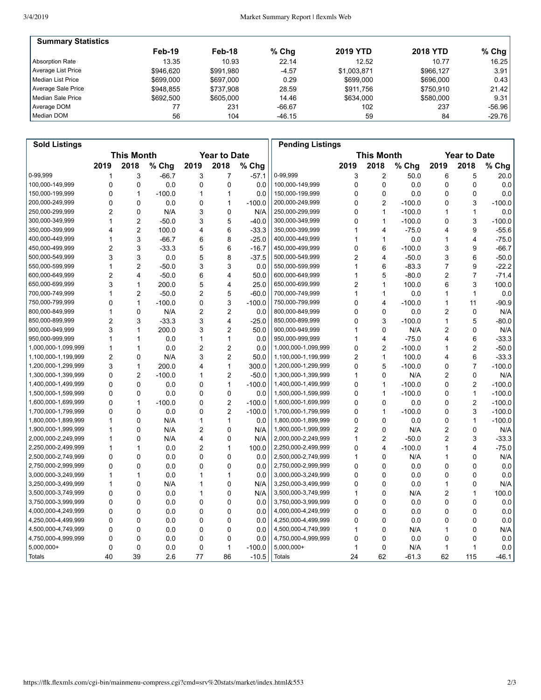| <b>Summary Statistics</b> |           |           |          |                 |                 |           |
|---------------------------|-----------|-----------|----------|-----------------|-----------------|-----------|
|                           | Feb-19    | Feb-18    | $%$ Chg  | <b>2019 YTD</b> | <b>2018 YTD</b> | % Chg $ $ |
| Absorption Rate           | 13.35     | 10.93     | 22.14    | 12.52           | 10.77           | 16.25     |
| Average List Price        | \$946.620 | \$991.980 | $-4.57$  | \$1,003,871     | \$966.127       | 3.91      |
| Median List Price         | \$699,000 | \$697.000 | 0.29     | \$699,000       | \$696,000       | 0.43      |
| Average Sale Price        | \$948.855 | \$737.908 | 28.59    | \$911.756       | \$750.910       | 21.42     |
| Median Sale Price         | \$692.500 | \$605,000 | 14.46    | \$634,000       | \$580,000       | 9.31      |
| Average DOM               |           | 231       | $-66.67$ | 102             | 237             | $-56.96$  |
| Median DOM                | 56        | 104       | $-46.15$ | 59              | 84              | $-29.76$  |

| <b>Sold Listings</b> |                                          |                |          |                |                |          | <b>Pending Listings</b> |                     |                         |          |                |                |          |
|----------------------|------------------------------------------|----------------|----------|----------------|----------------|----------|-------------------------|---------------------|-------------------------|----------|----------------|----------------|----------|
|                      | <b>This Month</b><br><b>Year to Date</b> |                |          |                |                |          | <b>This Month</b>       | <b>Year to Date</b> |                         |          |                |                |          |
|                      | 2019                                     | 2018           | % Chg    | 2019           | 2018           | % Chg    |                         | 2019                | 2018                    | % Chg    | 2019           | 2018           | % Chg    |
| 0-99,999             | 1                                        | 3              | $-66.7$  | 3              | 7              | $-57.1$  | 0-99,999                | 3                   | $\overline{2}$          | 50.0     | 6              | 5              | 20.0     |
| 100,000-149,999      | 0                                        | 0              | 0.0      | $\mathbf 0$    | 0              | 0.0      | 100,000-149,999         | 0                   | $\mathbf 0$             | 0.0      | 0              | 0              | 0.0      |
| 150,000-199,999      | 0                                        | $\mathbf{1}$   | $-100.0$ | 1              | 1              | 0.0      | 150,000-199,999         | 0                   | $\mathbf 0$             | 0.0      | 0              | 0              | 0.0      |
| 200,000-249,999      | 0                                        | 0              | 0.0      | 0              | 1              | $-100.0$ | 200,000-249,999         | 0                   | $\overline{2}$          | $-100.0$ | 0              | 3              | $-100.0$ |
| 250,000-299,999      | $\overline{2}$                           | $\mathbf 0$    | N/A      | 3              | 0              | N/A      | 250,000-299,999         | 0                   | $\mathbf{1}$            | $-100.0$ | 1              | $\mathbf{1}$   | 0.0      |
| 300,000-349,999      | 1                                        | $\overline{2}$ | $-50.0$  | 3              | 5              | $-40.0$  | 300,000-349,999         | 0                   | $\mathbf{1}$            | $-100.0$ | 0              | 3              | $-100.0$ |
| 350,000-399,999      | 4                                        | $\overline{2}$ | 100.0    | 4              | 6              | $-33.3$  | 350,000-399,999         | 1                   | 4                       | $-75.0$  | 4              | 9              | $-55.6$  |
| 400,000-449,999      | 1                                        | 3              | $-66.7$  | 6              | 8              | $-25.0$  | 400,000-449,999         | 1                   | $\mathbf{1}$            | 0.0      | 1              | 4              | $-75.0$  |
| 450,000-499,999      | $\overline{2}$                           | 3              | $-33.3$  | 5              | 6              | $-16.7$  | 450,000-499,999         | 0                   | 6                       | $-100.0$ | 3              | 9              | $-66.7$  |
| 500,000-549,999      | 3                                        | 3              | 0.0      | 5              | 8              | $-37.5$  | 500,000-549,999         | 2                   | $\overline{\mathbf{4}}$ | $-50.0$  | 3              | 6              | $-50.0$  |
| 550,000-599,999      | 1                                        | $\overline{2}$ | $-50.0$  | 3              | 3              | 0.0      | 550,000-599,999         |                     | 6                       | $-83.3$  | 7              | 9              | $-22.2$  |
| 600,000-649,999      | $\overline{2}$                           | $\overline{4}$ | $-50.0$  | 6              | 4              | 50.0     | 600,000-649,999         | 1                   | 5                       | $-80.0$  | 2              | $\overline{7}$ | $-71.4$  |
| 650,000-699,999      | 3                                        | $\mathbf{1}$   | 200.0    | 5              | 4              | 25.0     | 650,000-699,999         | 2                   | 1                       | 100.0    | 6              | 3              | 100.0    |
| 700,000-749,999      | 1                                        | $\overline{2}$ | $-50.0$  | $\overline{c}$ | 5              | $-60.0$  | 700,000-749,999         | 1                   | $\mathbf{1}$            | 0.0      | 1              | $\mathbf{1}$   | 0.0      |
| 750,000-799,999      | 0                                        | $\mathbf{1}$   | $-100.0$ | 0              | 3              | $-100.0$ | 750,000-799,999         | 0                   | $\overline{\mathbf{4}}$ | $-100.0$ | 1              | 11             | $-90.9$  |
| 800,000-849,999      | 1                                        | $\mathbf 0$    | N/A      | $\overline{2}$ | $\overline{2}$ | 0.0      | 800,000-849,999         | 0                   | $\mathbf 0$             | 0.0      | 2              | 0              | N/A      |
| 850,000-899,999      | $\overline{2}$                           | 3              | $-33.3$  | 3              | 4              | $-25.0$  | 850,000-899,999         | 0                   | 3                       | $-100.0$ | 1              | 5              | $-80.0$  |
| 900,000-949,999      | 3                                        | $\mathbf{1}$   | 200.0    | 3              | $\overline{2}$ | 50.0     | 900,000-949,999         | 1                   | 0                       | N/A      | 2              | 0              | N/A      |
| 950,000-999,999      | 1                                        | $\mathbf{1}$   | 0.0      | 1              | $\mathbf{1}$   | 0.0      | 950,000-999,999         | 1                   | $\overline{\mathbf{4}}$ | $-75.0$  | 4              | 6              | $-33.3$  |
| 1,000,000-1,099,999  | 1                                        | $\mathbf{1}$   | 0.0      | $\overline{2}$ | $\overline{2}$ | 0.0      | 1,000,000-1,099,999     | 0                   | $\overline{2}$          | $-100.0$ | 1              | $\overline{2}$ | $-50.0$  |
| 1,100,000-1,199,999  | $\overline{2}$                           | 0              | N/A      | 3              | $\overline{2}$ | 50.0     | 1,100,000-1,199,999     | 2                   | $\mathbf{1}$            | 100.0    | 4              | 6              | $-33.3$  |
| 1,200,000-1,299,999  | 3                                        | $\mathbf{1}$   | 200.0    | 4              | $\mathbf{1}$   | 300.0    | 1,200,000-1,299,999     | 0                   | 5                       | $-100.0$ | 0              | 7              | $-100.0$ |
| 1,300,000-1,399,999  | 0                                        | $\overline{2}$ | $-100.0$ | 1              | $\overline{c}$ | $-50.0$  | 1,300,000-1,399,999     | 1                   | 0                       | N/A      | 2              | 0              | N/A      |
| 1,400,000-1,499,999  | $\Omega$                                 | $\mathbf 0$    | 0.0      | $\mathbf 0$    | 1              | $-100.0$ | 1,400,000-1,499,999     | 0                   | $\mathbf{1}$            | $-100.0$ | 0              | 2              | $-100.0$ |
| 1,500,000-1,599,999  | 0                                        | $\Omega$       | 0.0      | 0              | 0              | 0.0      | 1,500,000-1,599,999     | 0                   | $\mathbf{1}$            | $-100.0$ | 0              | $\mathbf{1}$   | $-100.0$ |
| 1,600,000-1,699,999  | 0                                        | 1              | $-100.0$ | 0              | $\overline{2}$ | $-100.0$ | 1,600,000-1,699,999     | 0                   | 0                       | 0.0      | 0              | 2              | $-100.0$ |
| 1,700,000-1,799,999  | 0                                        | 0              | 0.0      | 0              | $\overline{2}$ | $-100.0$ | 1,700,000-1,799,999     | 0                   | $\mathbf{1}$            | $-100.0$ | 0              | 3              | $-100.0$ |
| 1,800,000-1,899,999  | 1                                        | 0              | N/A      | 1              | 1              | 0.0      | 1,800,000-1,899,999     | 0                   | 0                       | 0.0      | 0              | 1              | $-100.0$ |
| 1,900,000-1,999,999  | 1                                        | $\mathbf 0$    | N/A      | $\overline{2}$ | 0              | N/A      | 1,900,000-1,999,999     | $\overline{2}$      | $\mathbf 0$             | N/A      | $\overline{2}$ | 0              | N/A      |
| 2,000,000-2,249,999  | 1                                        | $\Omega$       | N/A      | 4              | $\mathbf 0$    | N/A      | 2,000,000-2,249,999     | 1                   | $\overline{2}$          | $-50.0$  | 2              | 3              | $-33.3$  |
| 2,250,000-2,499,999  | 1                                        | $\mathbf{1}$   | 0.0      | 2              | 1              | 100.0    | 2,250,000-2,499,999     | 0                   | 4                       | $-100.0$ | 1              | 4              | $-75.0$  |
| 2,500,000-2,749,999  | 0                                        | $\mathbf 0$    | 0.0      | 0              | 0              | 0.0      | 2,500,000-2,749,999     | 1                   | $\mathbf 0$             | N/A      | 1              | 0              | N/A      |
| 2,750,000-2,999,999  | 0                                        | $\mathbf 0$    | 0.0      | 0              | 0              | 0.0      | 2,750,000-2,999,999     | 0                   | $\mathbf 0$             | 0.0      | 0              | 0              | 0.0      |
| 3,000,000-3,249,999  | 1                                        | $\mathbf{1}$   | 0.0      | 1              | 1              | 0.0      | 3,000,000-3,249,999     | 0                   | $\mathbf 0$             | 0.0      | 0              | 0              | 0.0      |
| 3,250,000-3,499,999  | 1                                        | $\mathbf 0$    | N/A      | 1              | $\mathbf 0$    | N/A      | 3,250,000-3,499,999     | 0                   | 0                       | 0.0      | 1              | 0              | N/A      |
| 3,500,000-3,749,999  | 0                                        | $\mathbf 0$    | 0.0      | 1              | 0              | N/A      | 3,500,000-3,749,999     | 1                   | 0                       | N/A      | 2              | 1              | 100.0    |
| 3,750,000-3,999,999  | 0                                        | $\mathbf 0$    | 0.0      | 0              | 0              | 0.0      | 3,750,000-3,999,999     | 0                   | 0                       | 0.0      | 0              | 0              | 0.0      |
| 4,000,000-4,249,999  | 0                                        | $\Omega$       | 0.0      | 0              | $\mathbf 0$    | 0.0      | 4,000,000-4,249,999     | 0                   | $\Omega$                | 0.0      | 0              | 0              | 0.0      |
| 4,250,000-4,499,999  | 0                                        | $\mathbf 0$    | 0.0      | 0              | 0              | 0.0      | 4,250,000-4,499,999     | 0                   | $\mathbf 0$             | 0.0      | 0              | 0              | 0.0      |
| 4,500,000-4,749,999  | 0                                        | $\mathbf 0$    | 0.0      | 0              | 0              | 0.0      | 4,500,000-4,749,999     | 1                   | 0                       | N/A      | 1              | $\mathbf 0$    | N/A      |
| 4,750,000-4,999,999  | 0                                        | 0              | 0.0      | 0              | 0              | 0.0      | 4,750,000-4,999,999     | 0                   | 0                       | 0.0      | 0              | 0              | 0.0      |
| 5,000,000+           | 0                                        | $\mathbf 0$    | 0.0      | 0              | 1              | $-100.0$ | 5,000,000+              | 1                   | $\mathbf 0$             | N/A      | 1              | 1              | 0.0      |
| Totals               | 40                                       | 39             | 2.6      | 77             | 86             | $-10.5$  | <b>Totals</b>           | 24                  | 62                      | $-61.3$  | 62             | 115            | $-46.1$  |